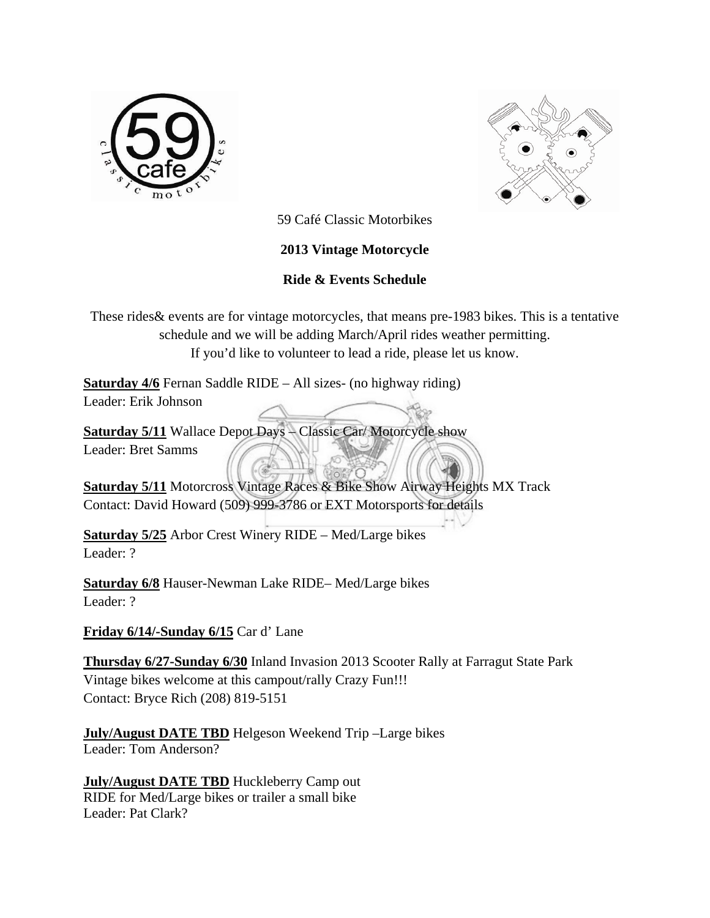



59 Café Classic Motorbikes

## **2013 Vintage Motorcycle**

## **Ride & Events Schedule**

These rides& events are for vintage motorcycles, that means pre-1983 bikes. This is a tentative schedule and we will be adding March/April rides weather permitting. If you'd like to volunteer to lead a ride, please let us know.

**Saturday 4/6** Fernan Saddle RIDE – All sizes- (no highway riding) Leader: Erik Johnson

**Saturday 5/11** Wallace Depot Days – Classic Car/ Motorcycle show Leader: Bret Samms

**Saturday 5/11** Motorcross Vintage Races & Bike Show Airway Heights MX Track Contact: David Howard (509) 999-3786 or EXT Motorsports for details

**Saturday 5/25** Arbor Crest Winery RIDE – Med/Large bikes Leader: ?

**Saturday 6/8** Hauser-Newman Lake RIDE– Med/Large bikes Leader: ?

**Friday 6/14/-Sunday 6/15** Car d' Lane

**Thursday 6/27-Sunday 6/30** Inland Invasion 2013 Scooter Rally at Farragut State Park Vintage bikes welcome at this campout/rally Crazy Fun!!! Contact: Bryce Rich (208) 819-5151

**July/August DATE TBD** Helgeson Weekend Trip –Large bikes Leader: Tom Anderson?

**July/August DATE TBD** Huckleberry Camp out RIDE for Med/Large bikes or trailer a small bike Leader: Pat Clark?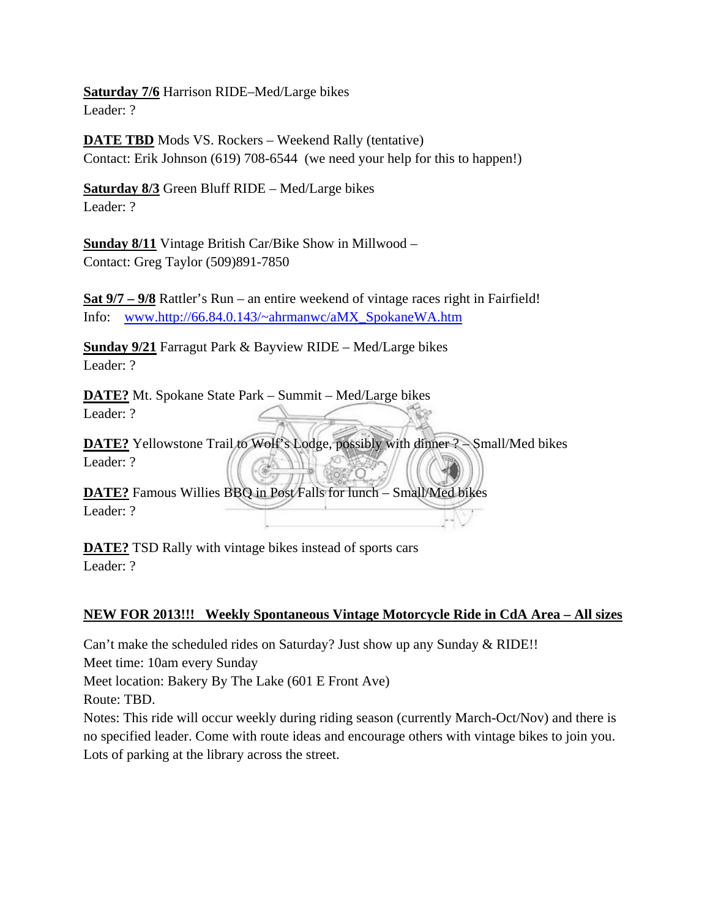**Saturday 7/6** Harrison RIDE–Med/Large bikes Leader: ?

**DATE TBD** Mods VS. Rockers – Weekend Rally (tentative) Contact: Erik Johnson (619) 708-6544 (we need your help for this to happen!)

**Saturday 8/3** Green Bluff RIDE – Med/Large bikes Leader: ?

**Sunday 8/11** Vintage British Car/Bike Show in Millwood – Contact: Greg Taylor (509)891-7850

**Sat 9/7 – 9/8** Rattler's Run – an entire weekend of vintage races right in Fairfield! Info: www.http://66.84.0.143/~ahrmanwc/aMX\_SpokaneWA.htm

**Sunday 9/21** Farragut Park & Bayview RIDE – Med/Large bikes Leader: ?

**DATE?** Mt. Spokane State Park – Summit – Med/Large bikes Leader: ?

**DATE?** Yellowstone Trail to Wolf's Lodge, possibly with dinner ? – Small/Med bikes Leader: ?

**DATE?** Famous Willies BBQ in Post Falls for lunch – Small/Med bikes Leader: ?

**DATE?** TSD Rally with vintage bikes instead of sports cars Leader: ?

## **NEW FOR 2013!!! Weekly Spontaneous Vintage Motorcycle Ride in CdA Area – All sizes**

Can't make the scheduled rides on Saturday? Just show up any Sunday & RIDE!!

Meet time: 10am every Sunday

Meet location: Bakery By The Lake (601 E Front Ave)

Route: TBD.

Notes: This ride will occur weekly during riding season (currently March-Oct/Nov) and there is no specified leader. Come with route ideas and encourage others with vintage bikes to join you. Lots of parking at the library across the street.